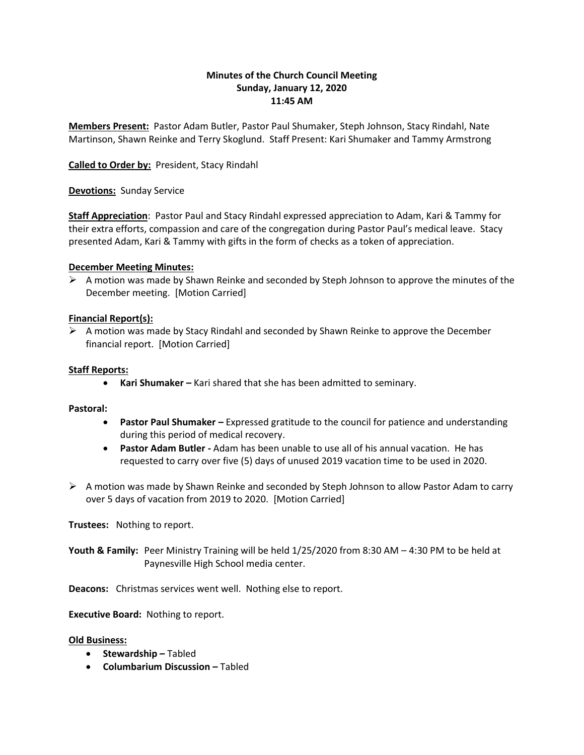# **Minutes of the Church Council Meeting Sunday, January 12, 2020 11:45 AM**

**Members Present:** Pastor Adam Butler, Pastor Paul Shumaker, Steph Johnson, Stacy Rindahl, Nate Martinson, Shawn Reinke and Terry Skoglund. Staff Present: Kari Shumaker and Tammy Armstrong

## **Called to Order by:** President, Stacy Rindahl

**Devotions:** Sunday Service

**Staff Appreciation**: Pastor Paul and Stacy Rindahl expressed appreciation to Adam, Kari & Tammy for their extra efforts, compassion and care of the congregation during Pastor Paul's medical leave. Stacy presented Adam, Kari & Tammy with gifts in the form of checks as a token of appreciation.

## **December Meeting Minutes:**

 $\triangleright$  A motion was made by Shawn Reinke and seconded by Steph Johnson to approve the minutes of the December meeting. [Motion Carried]

# **Financial Report(s):**

 $\triangleright$  A motion was made by Stacy Rindahl and seconded by Shawn Reinke to approve the December financial report. [Motion Carried]

## **Staff Reports:**

**Kari Shumaker –** Kari shared that she has been admitted to seminary.

## **Pastoral:**

- **Pastor Paul Shumaker –** Expressed gratitude to the council for patience and understanding during this period of medical recovery.
- **Pastor Adam Butler -** Adam has been unable to use all of his annual vacation. He has requested to carry over five (5) days of unused 2019 vacation time to be used in 2020.
- $\triangleright$  A motion was made by Shawn Reinke and seconded by Steph Johnson to allow Pastor Adam to carry over 5 days of vacation from 2019 to 2020. [Motion Carried]

**Trustees:** Nothing to report.

**Youth & Family:** Peer Ministry Training will be held 1/25/2020 from 8:30 AM – 4:30 PM to be held at Paynesville High School media center.

**Deacons:** Christmas services went well. Nothing else to report.

**Executive Board:** Nothing to report.

## **Old Business:**

- **•** Stewardship Tabled
- **Columbarium Discussion –** Tabled